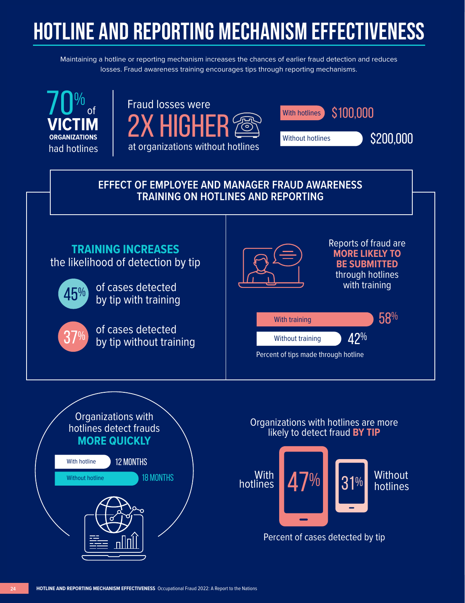## **HOTLINE AND REPORTING MECHANISM EFFECTIVENESS**

Maintaining a hotline or reporting mechanism increases the chances of earlier fraud detection and reduces losses. Fraud awareness training encourages tips through reporting mechanisms.







## **EFFECT OF EMPLOYEE AND MANAGER FRAUD AWARENESS TRAINING ON HOTLINES AND REPORTING**





## Organizations with hotlines are more likely to detect fraud **BY TIP**



Percent of cases detected by tip